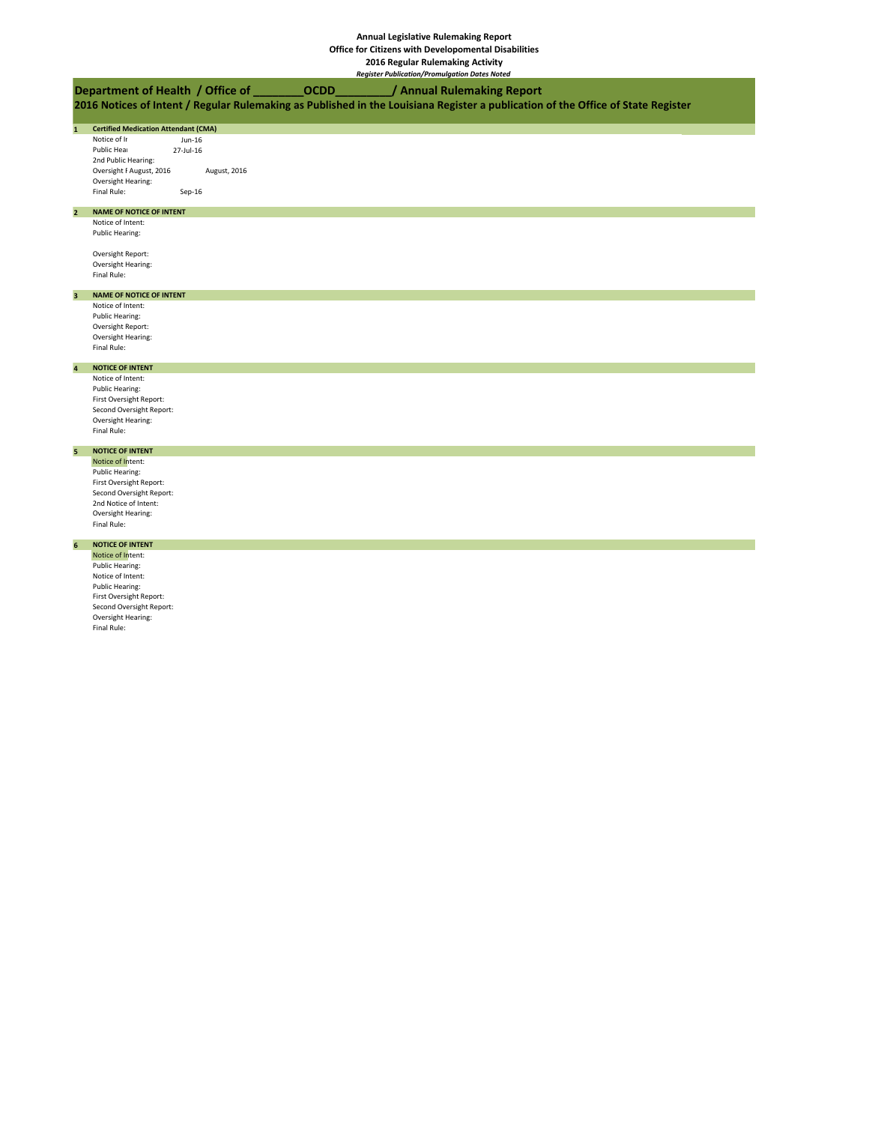## **Annual Legislative Rulemaking Report**

**Office for Citizens with Developomental Disabilities**

**2016 Regular Rulemaking Activity** *Register Publication/Promulgation Dates Noted*

## **2016 Notices of Intent / Regular Rulemaking as Published in the Louisiana Register a publication of the Office of State Register Department of Health / Office of \_\_\_\_\_\_\_\_OCDD\_\_\_\_\_\_\_\_\_/ Annual Rulemaking Report**

### **1 Certified Medication Attendant (CMA)**

Notice of Ir<br>Public Heal 27-Jul-16 Public Hear 2nd Public Hearing: Oversight F August, 2016 August, 2016 Oversight Hearing: Final Rule: Sep-16

## **2 NAME OF NOTICE OF INTENT**

Notice of Intent: Public Hearing:

Oversight Report: Oversight Hearing: Final Rule:

#### **3 NAME OF NOTICE OF INTENT**

Notice of Intent: Public Hearing: Oversight Report: Oversight Hearing: Final Rule:

## **4 NOTICE OF INTENT**

Notice of Intent: Public Hearing: First Oversight Report: Second Oversight Report: Oversight Hearing: Final Rule:

## **5 NOTICE OF INTENT** Notice of Intent:

Public Hearing: First Oversight Report: Second Oversight Report: 2nd Notice of Intent: Oversight Hearing: Final Rule:

## **6 NOTICE OF INTENT**

Notice of Intent: Public Hearing: Notice of Intent: Public Hearing: First Oversight Report: Second Oversight Report: Oversight Hearing: Final Rule: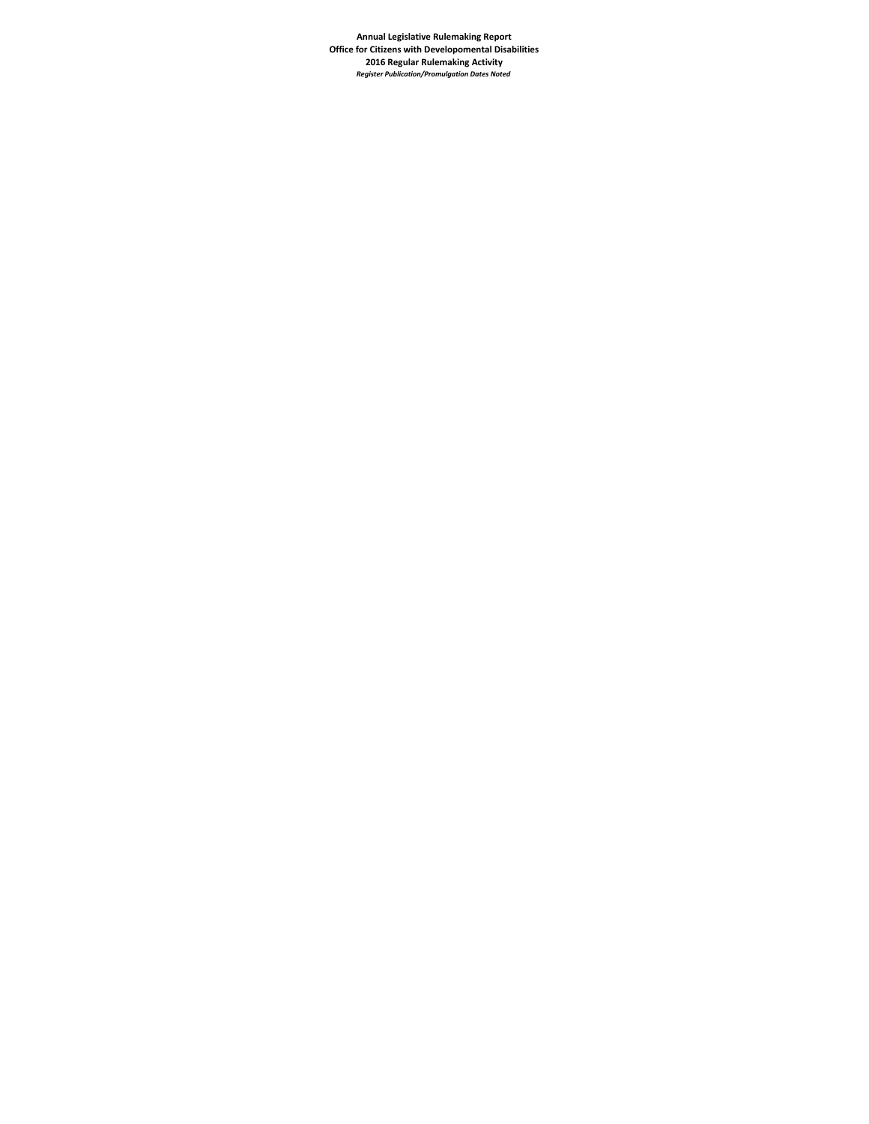**Annual Legislative Rulemaking Report Office for Citizens with Developomental Disabilities 2016 Regular Rulemaking Activity** *Register Publication/Promulgation Dates Noted*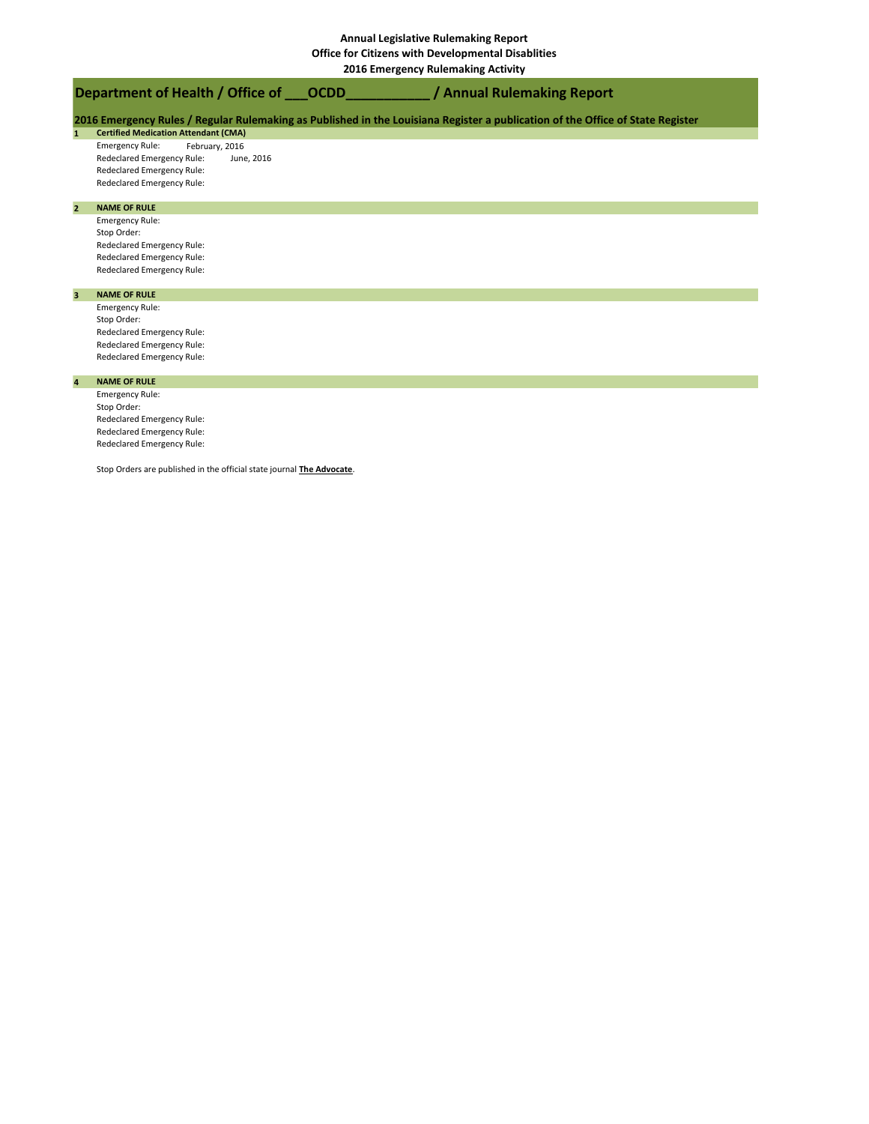# **Department of Health / Office of**

**PHICATION PUBLICATION / PUBLICATION PROMULG** 

|  |  |  | 2016 Emergency Rules / Regular Rulemaking as Published in the Louisiana Register a publication of the Office of State Register |
|--|--|--|--------------------------------------------------------------------------------------------------------------------------------|
|--|--|--|--------------------------------------------------------------------------------------------------------------------------------|

**1 Certified Medication Attendant (CMA)**

Emergency Rule: February, 2016<br>Redeclared Emergency Rule: June, 2016 Redeclared Emergency Rule: Redeclared Emergency Rule: Redeclared Emergency Rule:

#### **2 NAME OF RULE**

Emergency Rule: Stop Order: Redeclared Emergency Rule: Redeclared Emergency Rule: Redeclared Emergency Rule:

### **3 NAME OF RULE**

Emergency Rule: Stop Order: Redeclared Emergency Rule: Redeclared Emergency Rule: Redeclared Emergency Rule:

#### **4 NAME OF RULE**

Emergency Rule: Stop Order: Redeclared Emergency Rule: Redeclared Emergency Rule: Redeclared Emergency Rule:

Stop Orders are published in the official state journal **The Advocate**.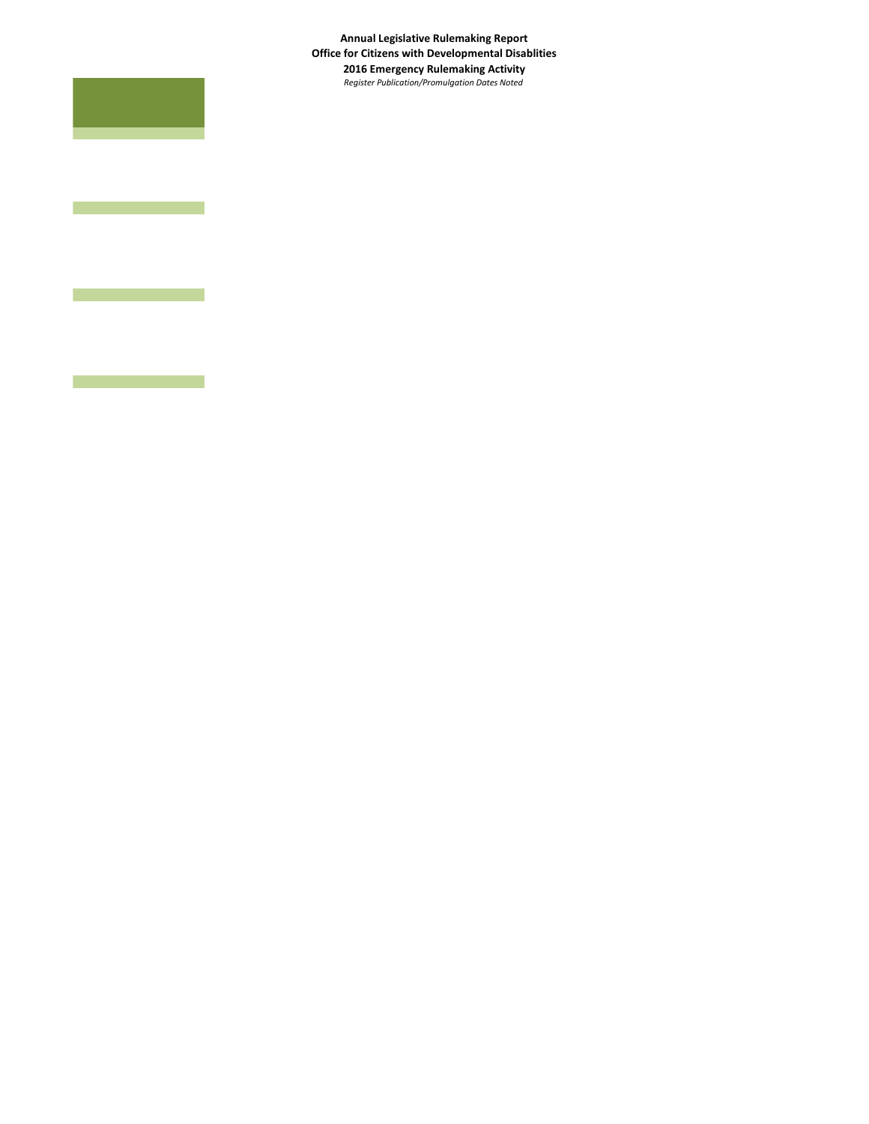**Annual Legislative Rulemaking Report Office for Citizens with Developmental Disablities 2016 Emergency Rulemaking Activity** *Register Publication/Promulgation Dates Noted*



ī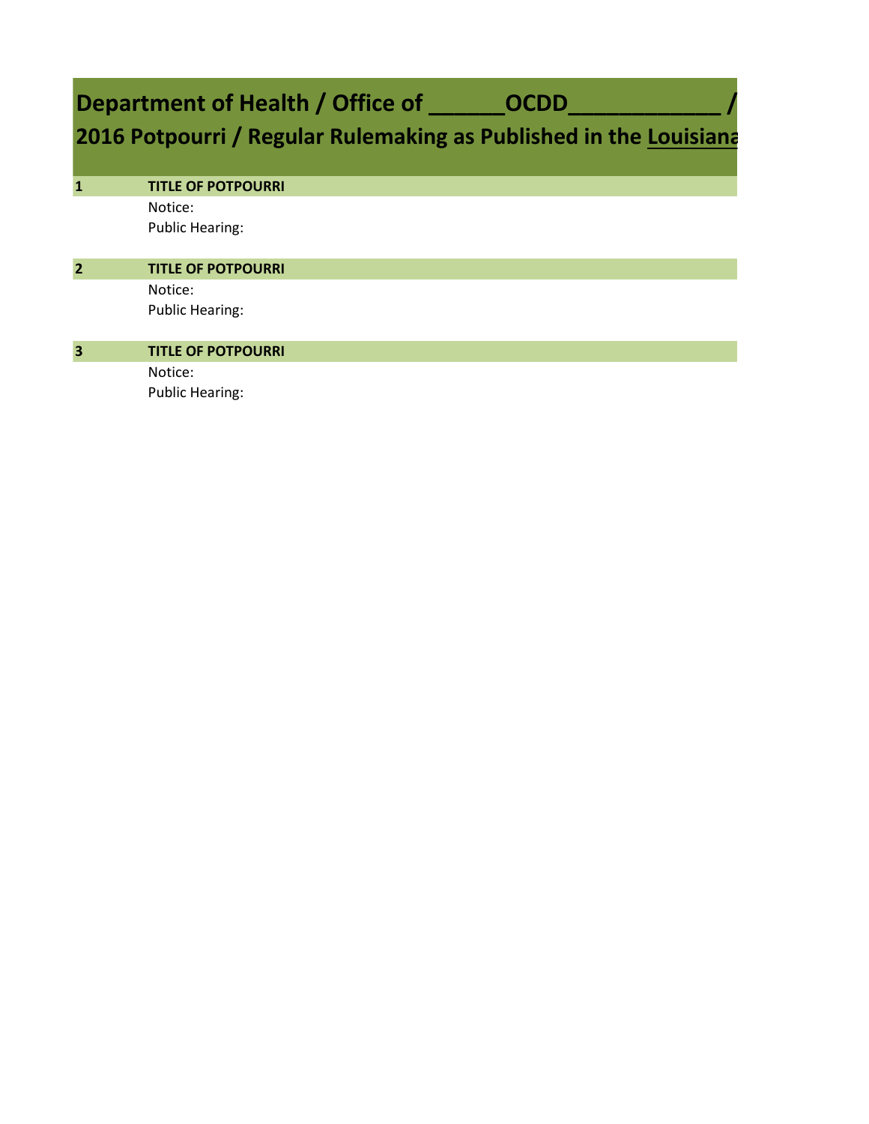# Department of Health / Office of \_\_\_\_\_\_OCDD\_

# **2016 Potpourri / Regular Rulemaking as Published in the Louisiana**

| $\mathbf{1}$            | <b>TITLE OF POTPOURRI</b> |
|-------------------------|---------------------------|
|                         | Notice:                   |
|                         | <b>Public Hearing:</b>    |
| $\overline{2}$          | <b>TITLE OF POTPOURRI</b> |
|                         | Notice:                   |
|                         | <b>Public Hearing:</b>    |
| $\overline{\mathbf{3}}$ | <b>TITLE OF POTPOURRI</b> |
|                         | Notice:                   |
|                         | <b>Public Hearing:</b>    |
|                         |                           |